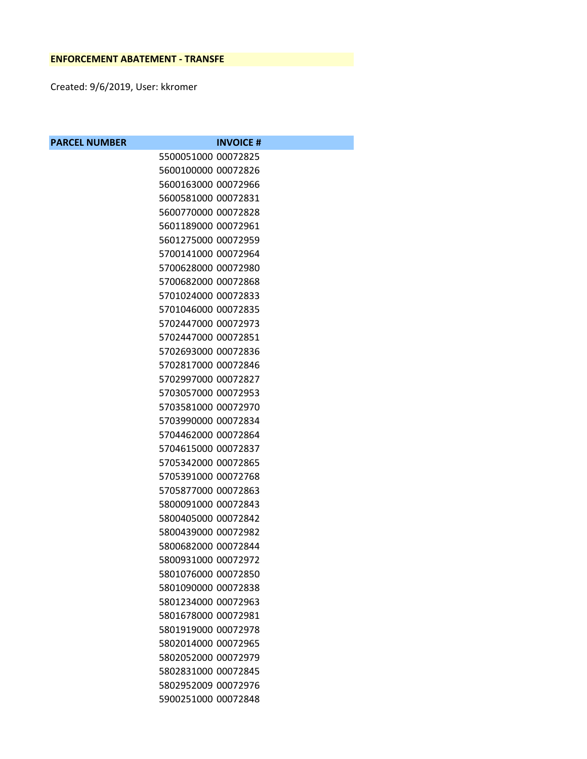Created: 9/6/2019, User: kkromer

| <b>PARCEL NUMBER</b> |                     | <b>INVOICE#</b> |
|----------------------|---------------------|-----------------|
|                      | 5500051000 00072825 |                 |
|                      | 5600100000 00072826 |                 |
|                      | 5600163000 00072966 |                 |
|                      | 5600581000 00072831 |                 |
|                      | 5600770000 00072828 |                 |
|                      | 5601189000 00072961 |                 |
|                      | 5601275000 00072959 |                 |
|                      | 5700141000 00072964 |                 |
|                      | 5700628000 00072980 |                 |
|                      | 5700682000 00072868 |                 |
|                      | 5701024000 00072833 |                 |
|                      | 5701046000 00072835 |                 |
|                      | 5702447000 00072973 |                 |
|                      | 5702447000 00072851 |                 |
|                      | 5702693000 00072836 |                 |
|                      | 5702817000 00072846 |                 |
|                      | 5702997000 00072827 |                 |
|                      | 5703057000 00072953 |                 |
|                      | 5703581000 00072970 |                 |
|                      | 5703990000 00072834 |                 |
|                      | 5704462000 00072864 |                 |
|                      | 5704615000 00072837 |                 |
|                      | 5705342000 00072865 |                 |
|                      | 5705391000 00072768 |                 |
|                      | 5705877000 00072863 |                 |
|                      | 5800091000 00072843 |                 |
|                      | 5800405000 00072842 |                 |
|                      | 5800439000 00072982 |                 |
|                      | 5800682000 00072844 |                 |
|                      | 5800931000 00072972 |                 |
|                      | 5801076000 00072850 |                 |
|                      | 5801090000 00072838 |                 |
|                      | 5801234000 00072963 |                 |
|                      | 5801678000 00072981 |                 |
|                      | 5801919000 00072978 |                 |
|                      | 5802014000 00072965 |                 |
|                      | 5802052000 00072979 |                 |
|                      | 5802831000 00072845 |                 |
|                      | 5802952009 00072976 |                 |
|                      | 5900251000 00072848 |                 |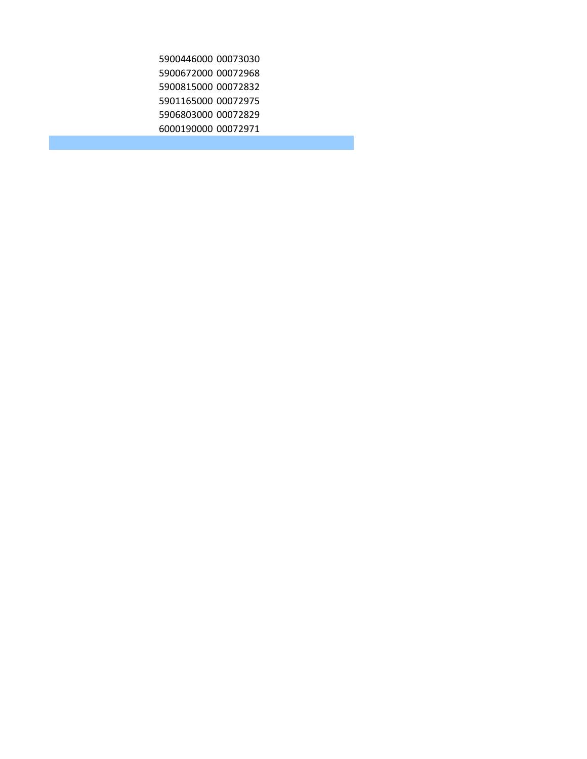00073030 00072968 00072832 00072975 00072829 00072971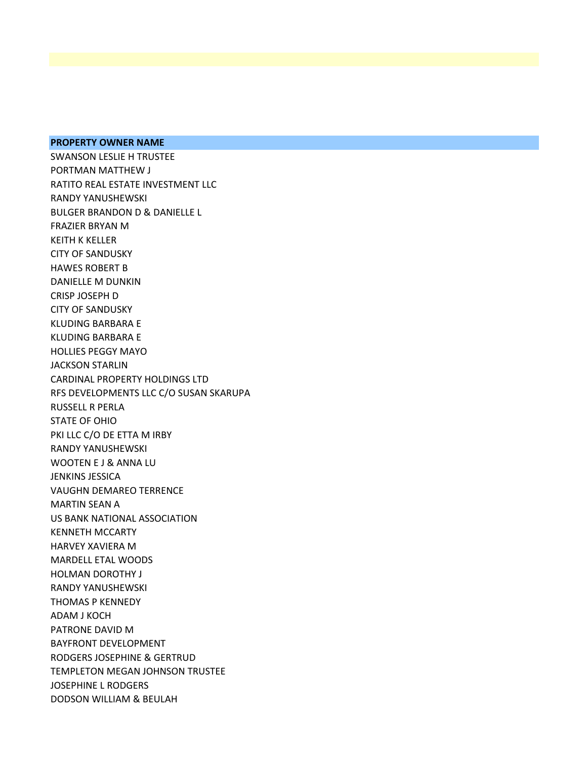## **PROPERTY OWNER NAME**

SWANSON LESLIE H TRUSTEE PORTMAN MATTHEW J RATITO REAL ESTATE INVESTMENT LLC RANDY YANUSHEWSKI BULGER BRANDON D & DANIELLE L FRAZIER BRYAN M KEITH K KELLER CITY OF SANDUSKY HAWES ROBERT B DANIELLE M DUNKIN CRISP JOSEPH D CITY OF SANDUSKY KLUDING BARBARA E KLUDING BARBARA E HOLLIES PEGGY MAYO JACKSON STARLIN CARDINAL PROPERTY HOLDINGS LTD RFS DEVELOPMENTS LLC C/O SUSAN SKARUPA RUSSELL R PERLA STATE OF OHIO PKI LLC C/O DE ETTA M IRBY RANDY YANUSHEWSKI WOOTEN E J & ANNA LU JENKINS JESSICA VAUGHN DEMAREO TERRENCE MARTIN SEAN A US BANK NATIONAL ASSOCIATION KENNETH MCCARTY HARVEY XAVIERA M MARDELL ETAL WOODS HOLMAN DOROTHY J RANDY YANUSHEWSKI THOMAS P KENNEDY ADAM J KOCH PATRONE DAVID M BAYFRONT DEVELOPMENT RODGERS JOSEPHINE & GERTRUD TEMPLETON MEGAN JOHNSON TRUSTEE JOSEPHINE L RODGERS DODSON WILLIAM & BEULAH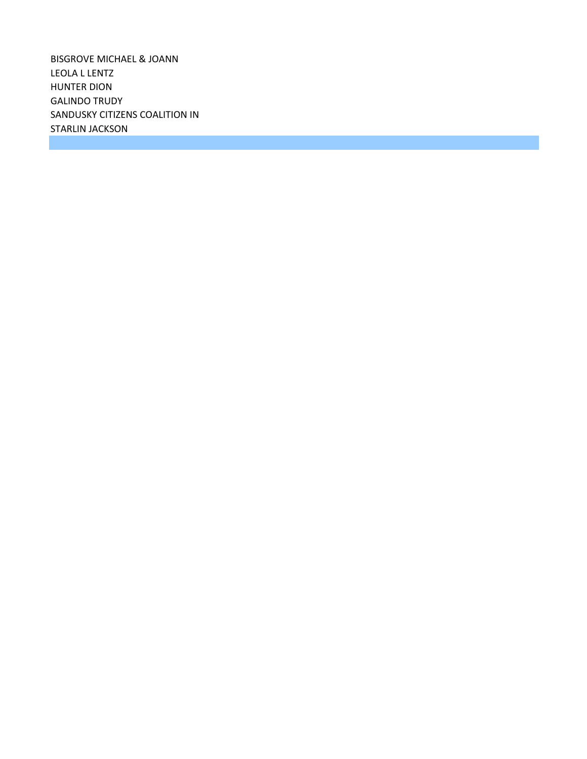BISGROVE MICHAEL & JOANN LEOLA L LENTZ HUNTER DION GALINDO TRUDY SANDUSKY CITIZENS COALITION IN STARLIN JACKSON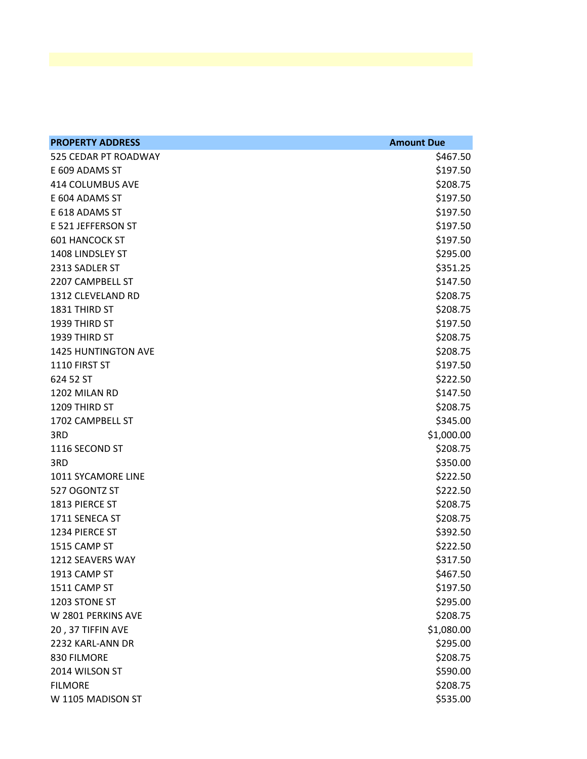| <b>PROPERTY ADDRESS</b>    | <b>Amount Due</b> |
|----------------------------|-------------------|
| 525 CEDAR PT ROADWAY       | \$467.50          |
| E 609 ADAMS ST             | \$197.50          |
| 414 COLUMBUS AVE           | \$208.75          |
| E 604 ADAMS ST             | \$197.50          |
| E 618 ADAMS ST             | \$197.50          |
| E 521 JEFFERSON ST         | \$197.50          |
| <b>601 HANCOCK ST</b>      | \$197.50          |
| 1408 LINDSLEY ST           | \$295.00          |
| 2313 SADLER ST             | \$351.25          |
| 2207 CAMPBELL ST           | \$147.50          |
| 1312 CLEVELAND RD          | \$208.75          |
| 1831 THIRD ST              | \$208.75          |
| 1939 THIRD ST              | \$197.50          |
| 1939 THIRD ST              | \$208.75          |
| <b>1425 HUNTINGTON AVE</b> | \$208.75          |
| 1110 FIRST ST              | \$197.50          |
| 624 52 ST                  | \$222.50          |
| 1202 MILAN RD              | \$147.50          |
| 1209 THIRD ST              | \$208.75          |
| 1702 CAMPBELL ST           | \$345.00          |
| 3RD                        | \$1,000.00        |
| 1116 SECOND ST             | \$208.75          |
| 3RD                        | \$350.00          |
| 1011 SYCAMORE LINE         | \$222.50          |
| 527 OGONTZ ST              | \$222.50          |
| 1813 PIERCE ST             | \$208.75          |
| 1711 SENECA ST             | \$208.75          |
| 1234 PIERCE ST             | \$392.50          |
| 1515 CAMP ST               | \$222.50          |
| 1212 SEAVERS WAY           | \$317.50          |
| 1913 CAMP ST               | \$467.50          |
| 1511 CAMP ST               | \$197.50          |
| 1203 STONE ST              | \$295.00          |
| W 2801 PERKINS AVE         | \$208.75          |
| 20, 37 TIFFIN AVE          | \$1,080.00        |
| 2232 KARL-ANN DR           | \$295.00          |
| 830 FILMORE                | \$208.75          |
| 2014 WILSON ST             | \$590.00          |
| <b>FILMORE</b>             | \$208.75          |
| W 1105 MADISON ST          | \$535.00          |